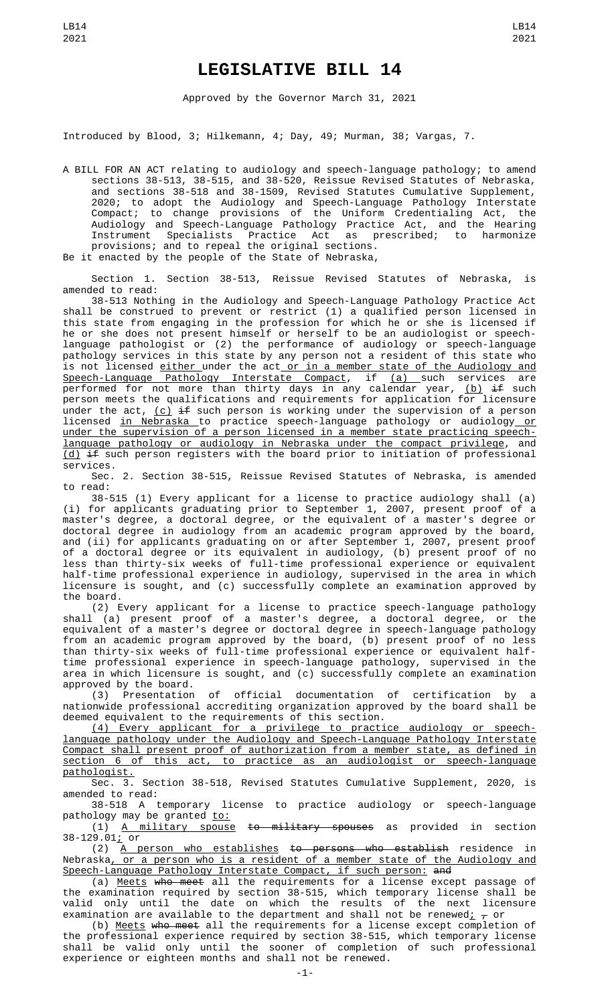## **LEGISLATIVE BILL 14**

Approved by the Governor March 31, 2021

Introduced by Blood, 3; Hilkemann, 4; Day, 49; Murman, 38; Vargas, 7.

A BILL FOR AN ACT relating to audiology and speech-language pathology; to amend sections 38-513, 38-515, and 38-520, Reissue Revised Statutes of Nebraska, and sections 38-518 and 38-1509, Revised Statutes Cumulative Supplement, 2020; to adopt the Audiology and Speech-Language Pathology Interstate Compact; to change provisions of the Uniform Credentialing Act, the Audiology and Speech-Language Pathology Practice Act, and the Hearing Instrument Specialists Practice Act as prescribed; to harmonize provisions; and to repeal the original sections.

Be it enacted by the people of the State of Nebraska,

Section 1. Section 38-513, Reissue Revised Statutes of Nebraska, is amended to read:

38-513 Nothing in the Audiology and Speech-Language Pathology Practice Act shall be construed to prevent or restrict (1) a qualified person licensed in this state from engaging in the profession for which he or she is licensed if he or she does not present himself or herself to be an audiologist or speechlanguage pathologist or (2) the performance of audiology or speech-language pathology services in this state by any person not a resident of this state who is not licensed <u>either under the act or in a member state of the Audiology and</u> <u>Speech-Language Pathology Interstate Compact</u>, if <u>(a) s</u>uch services are performed for not more than thirty days in any calendar year, (b) if such person meets the qualifications and requirements for application for licensure under the act,  $(c)$  if such person is working under the supervision of a person licensed <u>in Nebraska </u>to practice speech-language pathology or audiology <u>or</u> under the supervision of a person licensed in a member state practicing speechlanguage pathology or audiology in Nebraska under the compact privilege, and (d) if such person registers with the board prior to initiation of professional services.

Sec. 2. Section 38-515, Reissue Revised Statutes of Nebraska, is amended to read:

38-515 (1) Every applicant for a license to practice audiology shall (a) (i) for applicants graduating prior to September 1, 2007, present proof of a master's degree, a doctoral degree, or the equivalent of a master's degree or doctoral degree in audiology from an academic program approved by the board, and (ii) for applicants graduating on or after September 1, 2007, present proof of a doctoral degree or its equivalent in audiology, (b) present proof of no less than thirty-six weeks of full-time professional experience or equivalent half-time professional experience in audiology, supervised in the area in which licensure is sought, and (c) successfully complete an examination approved by the board.

(2) Every applicant for a license to practice speech-language pathology shall (a) present proof of a master's degree, a doctoral degree, or the equivalent of a master's degree or doctoral degree in speech-language pathology from an academic program approved by the board, (b) present proof of no less than thirty-six weeks of full-time professional experience or equivalent halftime professional experience in speech-language pathology, supervised in the area in which licensure is sought, and (c) successfully complete an examination

approved by the board.<br>(3) Presentation (3) Presentation of official documentation of certification by a nationwide professional accrediting organization approved by the board shall be deemed equivalent to the requirements of this section.

(4) Every applicant for a privilege to practice audiology or speechlanguage pathology under the Audiology and Speech-Language Pathology Interstate Compact shall present proof of authorization from a member state, as defined in section 6 of this act, to practice as an audiologist or speech-language pathologist.

Sec. 3. Section 38-518, Revised Statutes Cumulative Supplement, 2020, is amended to read:

38-518 A temporary license to practice audiology or speech-language pathology may be granted <u>to:</u>

(1) A military spouse to military spouses as provided in section 38-129.01; or

(2) A person who establishes to persons who establish residence in Nebraska, or a person who is a resident of a member state of the Audiology and Speech-Language Pathology Interstate Compact, if such person: and

(a) <u>Meets</u> w<del>ho meet</del> all the requirements for a license except passage of the examination required by section 38-515, which temporary license shall be valid only until the date on which the results of the next licensure examination are available to the department and shall not be renewed<sub>i</sub>  $\tau$  or

(b) Meets who meet all the requirements for a license except completion of the professional experience required by section 38-515, which temporary license shall be valid only until the sooner of completion of such professional experience or eighteen months and shall not be renewed.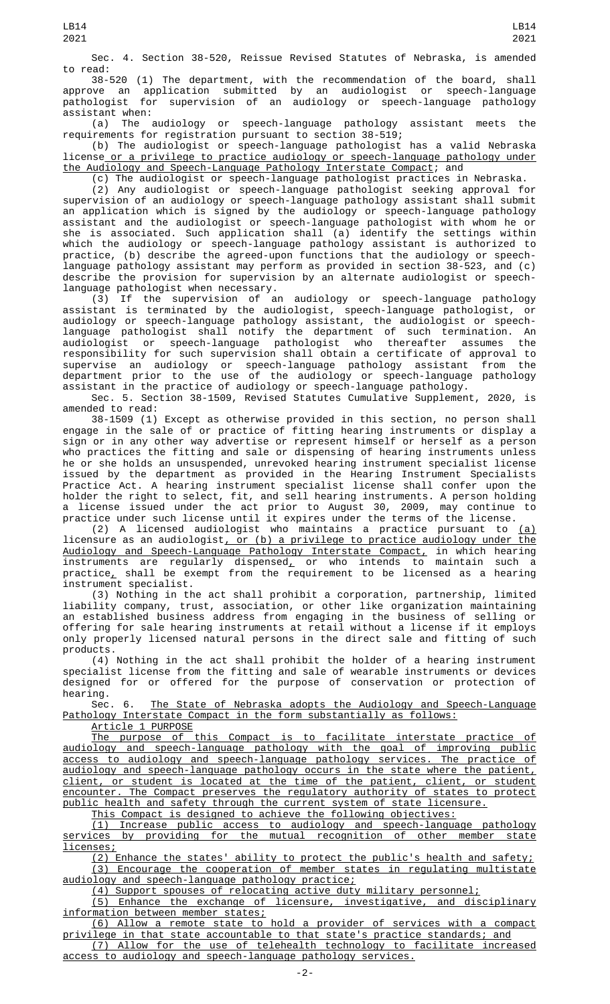Sec. 4. Section 38-520, Reissue Revised Statutes of Nebraska, is amended to read:

38-520 (1) The department, with the recommendation of the board, shall approve an application submitted by an audiologist or speech-language pathologist for supervision of an audiology or speech-language pathology assistant when:

(a) The audiology or speech-language pathology assistant meets the requirements for registration pursuant to section 38-519;

(b) The audiologist or speech-language pathologist has a valid Nebraska license or a privilege to practice audiology or speech-language pathology under the Audiology and Speech-Language Pathology Interstate Compact; and

(c) The audiologist or speech-language pathologist practices in Nebraska. (2) Any audiologist or speech-language pathologist seeking approval for supervision of an audiology or speech-language pathology assistant shall submit an application which is signed by the audiology or speech-language pathology assistant and the audiologist or speech-language pathologist with whom he or she is associated. Such application shall (a) identify the settings within which the audiology or speech-language pathology assistant is authorized to practice, (b) describe the agreed-upon functions that the audiology or speechlanguage pathology assistant may perform as provided in section 38-523, and (c) describe the provision for supervision by an alternate audiologist or speechlanguage pathologist when necessary.

(3) If the supervision of an audiology or speech-language pathology assistant is terminated by the audiologist, speech-language pathologist, or audiology or speech-language pathology assistant, the audiologist or speechlanguage pathologist shall notify the department of such termination. An audiologist or speech-language pathologist who thereafter assumes the responsibility for such supervision shall obtain a certificate of approval to supervise an audiology or speech-language pathology assistant from the department prior to the use of the audiology or speech-language pathology assistant in the practice of audiology or speech-language pathology.

Sec. 5. Section 38-1509, Revised Statutes Cumulative Supplement, 2020, is amended to read:

38-1509 (1) Except as otherwise provided in this section, no person shall engage in the sale of or practice of fitting hearing instruments or display a sign or in any other way advertise or represent himself or herself as a person who practices the fitting and sale or dispensing of hearing instruments unless he or she holds an unsuspended, unrevoked hearing instrument specialist license issued by the department as provided in the Hearing Instrument Specialists Practice Act. A hearing instrument specialist license shall confer upon the holder the right to select, fit, and sell hearing instruments. A person holding a license issued under the act prior to August 30, 2009, may continue to practice under such license until it expires under the terms of the license.

(2) A licensed audiologist who maintains a practice pursuant to  $(a)$ licensure as an audiologist, or (b) a privilege to practice audiology under the Audiology and Speech-Language Pathology Interstate Compact, in which hearing instruments are regularly dispensed $_{\rm {\cal L}}$  or who intends to maintain such a practice<u>,</u> shall be exempt from the requirement to be licensed as a hearing instrument specialist.

(3) Nothing in the act shall prohibit a corporation, partnership, limited liability company, trust, association, or other like organization maintaining an established business address from engaging in the business of selling or offering for sale hearing instruments at retail without a license if it employs only properly licensed natural persons in the direct sale and fitting of such products.

(4) Nothing in the act shall prohibit the holder of a hearing instrument specialist license from the fitting and sale of wearable instruments or devices designed for or offered for the purpose of conservation or protection of hearing.

Sec. 6. The State of Nebraska adopts the Audiology and Speech-Language Pathology Interstate Compact in the form substantially as follows:

Article 1 PURPOSE

The purpose of this Compact is to facilitate interstate practice of audiology and speech-language pathology with the goal of improving public access to audiology and speech-language pathology services. The practice of audiology and speech-language pathology occurs in the state where the patient, client, or student is located at the time of the patient, client, or student encounter. The Compact preserves the regulatory authority of states to protect public health and safety through the current system of state licensure.

This Compact is designed to achieve the following objectives:

(1) Increase public access to audiology and speech-language pathology services by providing for the mutual recognition of other member state licenses;

(2) Enhance the states' ability to protect the public's health and safety; (3) Encourage the cooperation of member states in regulating multistate audiology and speech-language pathology practice;

(4) Support spouses of relocating active duty military personnel;

(5) Enhance the exchange of licensure, investigative, and disciplinary information between member states;

(6) Allow a remote state to hold a provider of services with a compact privilege in that state accountable to that state's practice standards; and

(7) Allow for the use of telehealth technology to facilitate increased access to audiology and speech-language pathology services.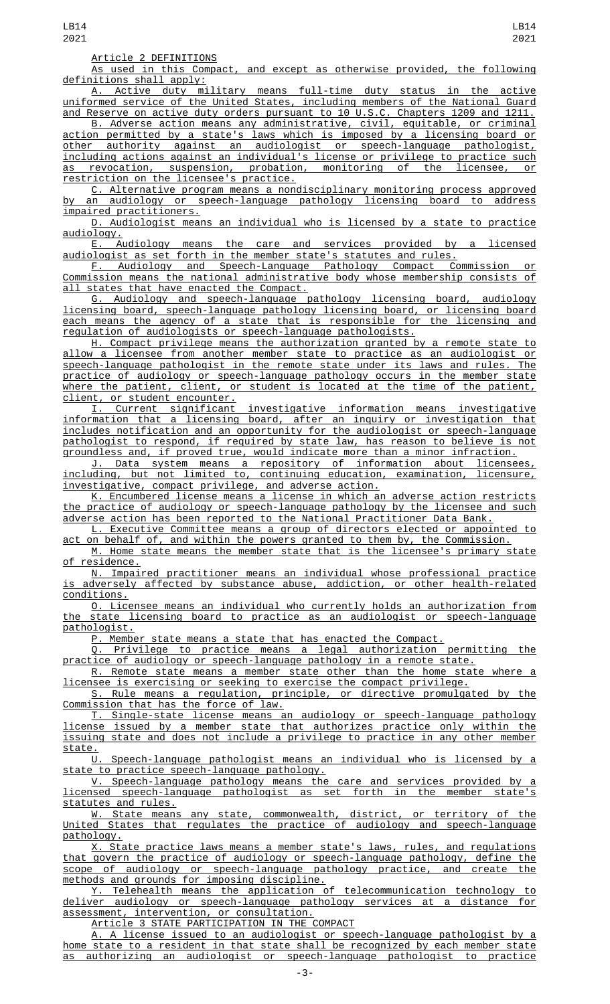Article 2 DEFINITIONS

As used in this Compact, and except as otherwise provided, the following definitions shall apply:

A. Active duty military means full-time duty status in the active uniformed service of the United States, including members of the National Guard and Reserve on active duty orders pursuant to 10 U.S.C. Chapters 1209 and 1211.

B. Adverse action means any administrative, civil, equitable, or criminal action permitted by a state's laws which is imposed by a licensing board or other authority against an audiologist or speech-language pathologist, including actions against an individual's license or privilege to practice such<br>as revocation, suspension, probation, monitoring of the licensee, or as revocation, suspension, probation, monitoring of the licensee, or restriction on the licensee's practice.

C. Alternative program means a nondisciplinary monitoring process approved by an audiology or speech-language pathology licensing board to address impaired practitioners.

D. Audiologist means an individual who is licensed by a state to practice

<u>audiology.</u><br>E. Audiology means the care and services provided by a licensed audiologist as set forth in the member state's statutes and rules.

F. Audiology and Speech-Language Pathology Compact Commission or Commission means the national administrative body whose membership consists of all states that have enacted the Compact.

G. Audiology and speech-language pathology licensing board, audiology licensing board, speech-language pathology licensing board, or licensing board each means the agency of a state that is responsible for the licensing and regulation of audiologists or speech-language pathologists.

H. Compact privilege means the authorization granted by a remote state to allow a licensee from another member state to practice as an audiologist or<br>speech-lanquaqe path<u>ologist in the remote state under its laws and rules. The</u> speech-language pathologist in the remote state under its laws and rules. practice of audiology or speech-language pathology occurs in the member state where the patient, client, or student is located at the time of the patient, client, or student encounter.

I. Current significant investigative information means investigative information that a licensing board, after an inquiry or investigation that includes notification and an opportunity for the audiologist or speech-language pathologist to respond, if required by state law, has reason to believe is not groundless and, if proved true, would indicate more than a minor infraction.

J. Data system means a repository of information about licensees, including, but not limited to, continuing education, examination, licensure, investigative, compact privilege, and adverse action.

K. Encumbered license means a license in which an adverse action restricts the practice of audiology or speech-language pathology by the licensee and such adverse action has been reported to the National Practitioner Data Bank.

L. Executive Committee means a group of directors elected or appointed to act on behalf of, and within the powers granted to them by, the Commission.

M. Home state means the member state that is the licensee's primary state of residence.

N. Impaired practitioner means an individual whose professional practice is adversely affected by substance abuse, addiction, or other health-related conditions.

O. Licensee means an individual who currently holds an authorization from the state licensing board to practice as an audiologist or speech-language pathologist.

P. Member state means a state that has enacted the Compact.

Q. Privilege to practice means a legal authorization permitting the practice of audiology or speech-language pathology in a remote state.

R. Remote state means a member state other than the home state where a licensee is exercising or seeking to exercise the compact privilege.

S. Rule means a regulation, principle, or directive promulgated by the Commission that has the force of law.

T. Single-state license means an audiology or speech-language pathology license issued by a member state that authorizes practice only within the issuing state and does not include a privilege to practice in any other member state.

U. Speech-language pathologist means an individual who is licensed by a state to practice speech-language pathology.

V. Speech-language pathology means the care and services provided by a licensed speech-language pathologist as set forth in the member state's

<u>statutes and rules.</u><br>W. State means State means any state, commonwealth, district, or territory of the United States that regulates the practice of audiology and speech-language pathology.

X. State practice laws means a member state's laws, rules, and regulations that govern the practice of audiology or speech-language pathology, define the scope of audiology or speech-language pathology practice, and create the methods and grounds for imposing discipline.

Y. Telehealth means the application of telecommunication technology to deliver audiology or speech-language pathology services at a distance for assessment, intervention, or consultation.

Article 3 STATE PARTICIPATION IN THE COMPACT

A. A license issued to an audiologist or speech-language pathologist by a home state to a resident in that state shall be recognized by each member state as authorizing an audiologist or speech-language pathologist to practice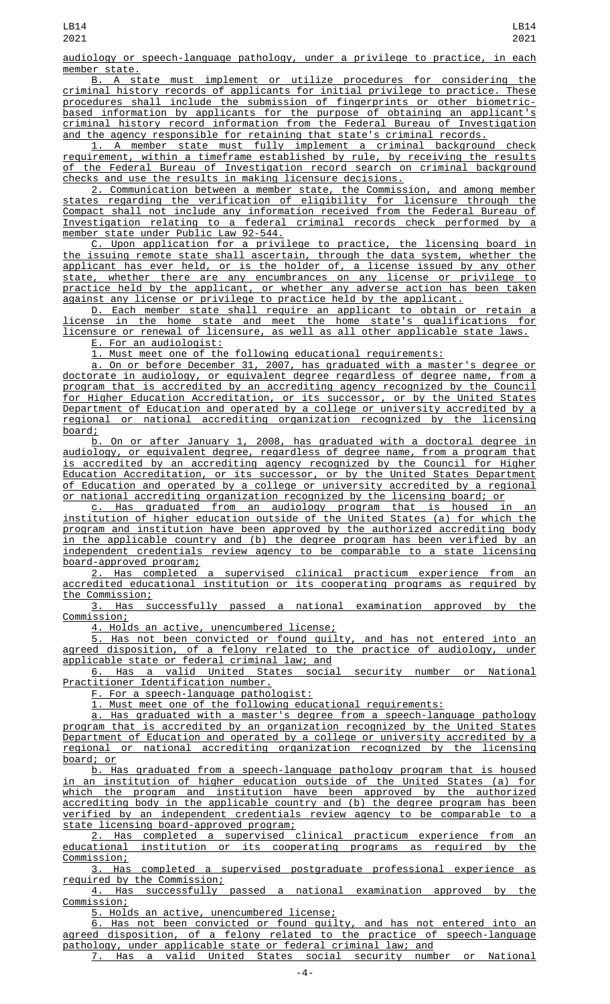audiology or speech-language pathology, under a privilege to practice, in each member state.<br>B. A st

B. A state must implement or utilize procedures for considering the criminal history records of applicants for initial privilege to practice. These procedures shall include the submission of fingerprints or other biometricbased information by applicants for the purpose of obtaining an applicant's criminal history record information from the Federal Bureau of Investigation and the agency responsible for retaining that state's criminal records.

1. A member state must fully implement a criminal background check requirement, within a timeframe established by rule, by receiving the results of the Federal Bureau of Investigation record search on criminal background checks and use the results in making licensure decisions.

2. Communication between a member state, the Commission, and among member states regarding the verification of eligibility for licensure through the Compact shall not include any information received from the Federal Bureau of Investigation relating to a federal criminal records check performed by a member state under Public Law 92-544.

C. Upon application for a privilege to practice, the licensing board in the issuing remote state shall ascertain, through the data system, whether the applicant has ever held, or is the holder of, a license issued by any other state, whether there are any encumbrances on any license or privilege to practice held by the applicant, or whether any adverse action has been taken against any license or privilege to practice held by the applicant.

D. Each member state shall require an applicant to obtain or retain a license in the home state and meet the home state's qualifications for licensure or renewal of licensure, as well as all other applicable state laws.

E. For an audiologist:

1. Must meet one of the following educational requirements:

a. On or before December 31, 2007, has graduated with a master's degree or doctorate in audiology, or equivalent degree regardless of degree name, from a program that is accredited by an accrediting agency recognized by the Council for Higher Education Accreditation, or its successor, or by the United States Department of Education and operated by a college or university accredited by a regional or national accrediting organization recognized by the licensing board;<br>b.

On or after January 1, 2008, has graduated with a doctoral degree in audiology, or equivalent degree, regardless of degree name, from a program that is accredited by an accrediting agency recognized by the Council for Higher Education Accreditation, or its successor, or by the United States Department of Education and operated by a college or university accredited by a regional or national accrediting organization recognized by the licensing board; or

c. Has graduated from an audiology program that is housed in an institution of higher education outside of the United States (a) for which the program and institution have been approved by the authorized accrediting body in the applicable country and (b) the degree program has been verified by an independent credentials review agency to be comparable to a state licensing board-approved program;

2. Has completed a supervised clinical practicum experience from an accredited educational institution or its cooperating programs as required by the Commission;

3. Has successfully passed a national examination approved by the Commission;

4. Holds an active, unencumbered license;

5. Has not been convicted or found guilty, and has not entered into an agreed disposition, of a felony related to the practice of audiology, under applicable state or federal criminal law; and

6. Has a valid United States social security number or National Practitioner Identification number.

F. For a speech-language pathologist:

1. Must meet one of the following educational requirements:

a. Has graduated with a master's degree from a speech-language pathology program that is accredited by an organization recognized by the United States Department of Education and operated by a college or university accredited by a regional or national accrediting organization recognized by the licensing board; or

b. Has graduated from a speech-language pathology program that is housed in an institution of higher education outside of the United States (a) for which the program and institution have been approved by the authorized accrediting body in the applicable country and (b) the degree program has been verified by an independent credentials review agency to be comparable to a state licensing board-approved program;

2. Has completed a supervised clinical practicum experience from an<br>itional institution or its cooperating programs as required by the educational institution or its cooperating programs as required by Commission;

3. Has completed a supervised postgraduate professional experience as required by the Commission;

4. Has successfully passed a national examination approved by the Commission;

5. Holds an active, unencumbered license;

6. Has not been convicted or found guilty, and has not entered into an agreed disposition, of a felony related to the practice of speech-language pathology, under applicable state or federal criminal law; and Has a valid United States social security number or National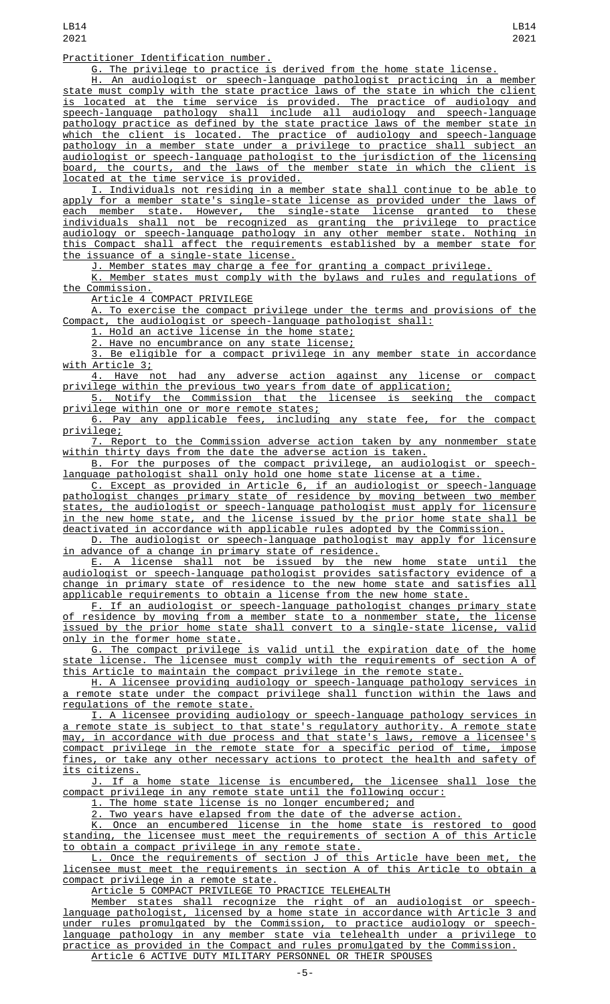Practitioner Identification number.

G. The privilege to practice is derived from the home state license.

H. An audiologist or speech-language pathologist practicing in a member state must comply with the state practice laws of the state in which the client is located at the time service is provided. The practice of audiology and speech-language pathology shall include all audiology and speech-language pathology practice as defined by the state practice laws of the member state in which the client is located. The practice of audiology and speech-language pathology in a member state under a privilege to practice shall subject an audiologist or speech-language pathologist to the jurisdiction of the licensing board, the courts, and the laws of the member state in which the client is located at the time service is provided.

I. Individuals not residing in a member state shall continue to be able to apply for a member state's single-state license as provided under the laws of each member state. However, the single-state license granted to these individuals shall not be recognized as granting the privilege to practice audiology or speech-language pathology in any other member state. Nothing in this Compact shall affect the requirements established by a member state for the issuance of a single-state license.

J. Member states may charge a fee for granting a compact privilege.

K. Member states must comply with the bylaws and rules and regulations of the Commission.

Article 4 COMPACT PRIVILEGE

A. To exercise the compact privilege under the terms and provisions of the Compact, the audiologist or speech-language pathologist shall:

1. Hold an active license in the home state;

Have no encumbrance on any state license;

3. Be eligible for a compact privilege in any member state in accordance with Article 3;

4. Have not had any adverse action against any license or compact privilege within the previous two years from date of application;

5. Notify the Commission that the licensee is seeking the compact privilege within one or more remote states;

6. Pay any applicable fees, including any state fee, for the compact privilege;

7. Report to the Commission adverse action taken by any nonmember state within thirty days from the date the adverse action is taken.

B. For the purposes of the compact privilege, an audiologist or speechlanguage pathologist shall only hold one home state license at a time.

C. Except as provided in Article 6, if an audiologist or speech-language pathologist changes primary state of residence by moving between two member states, the audiologist or speech-language pathologist must apply for licensure in the new home state, and the license issued by the prior home state shall be deactivated in accordance with applicable rules adopted by the Commission.

D. The audiologist or speech-language pathologist may apply for licensure in advance of a change in primary state of residence.

E. A license shall not be issued by the new home state until the audiologist or speech-language pathologist provides satisfactory evidence of a change in primary state of residence to the new home state and satisfies all applicable requirements to obtain a license from the new home state.

F. If an audiologist or speech-language pathologist changes primary state of residence by moving from a member state to a nonmember state, the license issued by the prior home state shall convert to a single-state license, valid only in the former home state.

G. The compact privilege is valid until the expiration date of the home state license. The licensee must comply with the requirements of section A of this Article to maintain the compact privilege in the remote state.

H. A licensee providing audiology or speech-language pathology services in a remote state under the compact privilege shall function within the laws and regulations of the remote state.

I. A licensee providing audiology or speech-language pathology services in a remote state is subject to that state's regulatory authority. A remote state may, in accordance with due process and that state's laws, remove a licensee's compact privilege in the remote state for a specific period of time, impose fines, or take any other necessary actions to protect the health and safety of its citizens.

J. If a home state license is encumbered, the licensee shall lose the compact privilege in any remote state until the following occur:

1. The home state license is no longer encumbered; and

2. Two years have elapsed from the date of the adverse action.

K. Once an encumbered license in the home state is restored to good standing, the licensee must meet the requirements of section A of this Article to obtain a compact privilege in any remote state.

L. Once the requirements of section J of this Article have been met, the licensee must meet the requirements in section A of this Article to obtain a compact privilege in a remote state.

Article 5 COMPACT PRIVILEGE TO PRACTICE TELEHEALTH

Member states shall recognize the right of an audiologist or speechlanguage pathologist, licensed by a home state in accordance with Article 3 and<br>under rules promulgated by the Commission, to practice audiology or speechunder rules promulgated by the Commission, to practice audiology or speechlanguage pathology in any member state via telehealth under a privilege to practice as provided in the Compact and rules promulgated by the Commission. Article 6 ACTIVE DUTY MILITARY PERSONNEL OR THEIR SPOUSES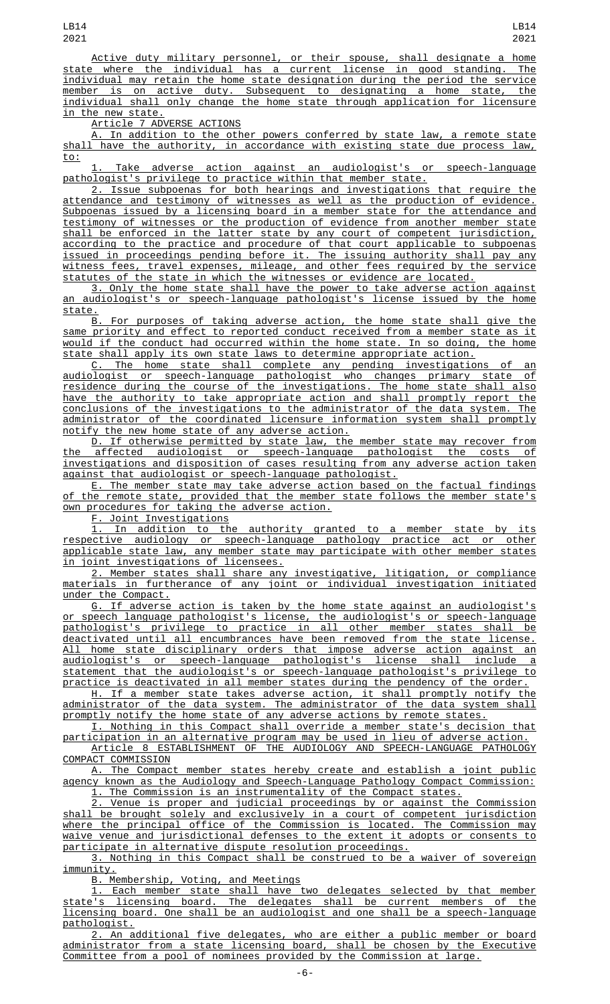Active duty military personnel, or their spouse, shall designate a home state where the individual has a current license in good standing. The individual may retain the home state designation during the period the service member is on active duty. Subsequent to designating a home state, the individual shall only change the home state through application for licensure in the new state.

Article 7 ADVERSE ACTIONS

A. In addition to the other powers conferred by state law, a remote state shall have the authority, in accordance with existing state due process law, to:

1. Take adverse action against an audiologist's or speech-language pathologist's privilege to practice within that member state.

2. Issue subpoenas for both hearings and investigations that require the attendance and testimony of witnesses as well as the production of evidence. Subpoenas issued by a licensing board in a member state for the attendance and testimony of witnesses or the production of evidence from another member state shall be enforced in the latter state by any court of competent jurisdiction, according to the practice and procedure of that court applicable to subpoenas issued in proceedings pending before it. The issuing authority shall pay any witness fees, travel expenses, mileage, and other fees required by the service statutes of the state in which the witnesses or evidence are located.

3. Only the home state shall have the power to take adverse action against an audiologist's or speech-language pathologist's license issued by the home state.<br>B.

B. For purposes of taking adverse action, the home state shall give the same priority and effect to reported conduct received from a member state as it would if the conduct had occurred within the home state. In so doing, the home state shall apply its own state laws to determine appropriate action.

C. The home state shall complete any pending investigations of an audiologist or speech-language pathologist who changes primary state of residence during the course of the investigations. The home state shall also have the authority to take appropriate action and shall promptly report the conclusions of the investigations to the administrator of the data system. The administrator of the coordinated licensure information system shall promptly notify the new home state of any adverse action.

D. If otherwise permitted by state law, the member state may recover from the affected audiologist or speech-language pathologist the costs of investigations and disposition of cases resulting from any adverse action taken against that audiologist or speech-language pathologist.

E. The member state may take adverse action based on the factual findings of the remote state, provided that the member state follows the member state's own procedures for taking the adverse action.

F. Joint Investigations

1. In addition to the authority granted to a member state by its respective audiology or speech-language pathology practice act or other applicable state law, any member state may participate with other member states in joint investigations of licensees.

2. Member states shall share any investigative, litigation, or compliance materials in furtherance of any joint or individual investigation initiated under the Compact.

G. If adverse action is taken by the home state against an audiologist's or speech language pathologist's license, the audiologist's or speech-language pathologist's privilege to practice in all other member states shall be deactivated until all encumbrances have been removed from the state license. All home state disciplinary orders that impose adverse action against an audiologist's or speech-language pathologist's license shall include a statement that the audiologist's or speech-language pathologist's privilege to practice is deactivated in all member states during the pendency of the order.

H. If a member state takes adverse action, it shall promptly notify the administrator of the data system. The administrator of the data system shall promptly notify the home state of any adverse actions by remote states.

I. Nothing in this Compact shall override a member state's decision that

participation in an alternative program may be used in lieu of adverse action. Article 8 ESTABLISHMENT OF THE AUDIOLOGY AND SPEECH-LANGUAGE PATHOLOGY COMPACT COMMISSION

A. The Compact member states hereby create and establish a joint public agency known as the Audiology and Speech-Language Pathology Compact Commission: 1. The Commission is an instrumentality of the Compact states.

2. Venue is proper and judicial proceedings by or against the Commission shall be brought solely and exclusively in a court of competent jurisdiction where the principal office of the Commission is located. The Commission may waive venue and jurisdictional defenses to the extent it adopts or consents to participate in alternative dispute resolution proceedings.

3. Nothing in this Compact shall be construed to be a waiver of sovereign immunity.

B. Membership, Voting, and Meetings

1. Each member state shall have two delegates selected by that member state's licensing board. The delegates shall be current members of the licensing board. One shall be an audiologist and one shall be a speech-language pathologist.

2. An additional five delegates, who are either a public member or board administrator from a state licensing board, shall be chosen by the Executive Committee from a pool of nominees provided by the Commission at large.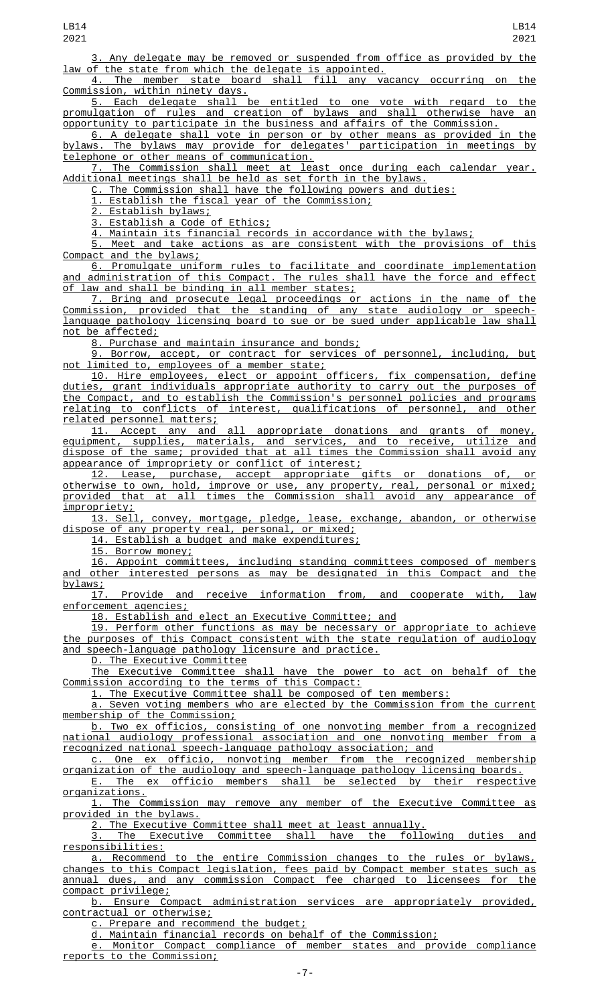Any delegate may be removed or suspended from office as provided by the law of the state from which the delegate is appointed.

4. The member state board shall fill any vacancy occurring on the Commission, within ninety days.

5. Each delegate shall be entitled to one vote with regard to the promulgation of rules and creation of bylaws and shall otherwise have an opportunity to participate in the business and affairs of the Commission.

6. A delegate shall vote in person or by other means as provided in the bylaws. The bylaws may provide for delegates' participation in meetings by telephone or other means of communication.

7. The Commission shall meet at least once during each calendar year. Additional meetings shall be held as set forth in the bylaws.

C. The Commission shall have the following powers and duties:

1. Establish the fiscal year of the Commission;

2. Establish bylaws;

3. Establish a Code of Ethics;

4. Maintain its financial records in accordance with the bylaws;

5. Meet and take actions as are consistent with the provisions of this Compact and the bylaws;

6. Promulgate uniform rules to facilitate and coordinate implementation and administration of this Compact. The rules shall have the force and effect of law and shall be binding in all member states;

7. Bring and prosecute legal proceedings or actions in the name of the Commission, provided that the standing of any state audiology or speechlanguage pathology licensing board to sue or be sued under applicable law shall not be affected;

8. Purchase and maintain insurance and bonds;

9. Borrow, accept, or contract for services of personnel, including, but not limited to, employees of a member state;

10. Hire employees, elect or appoint officers, fix compensation, define duties, grant individuals appropriate authority to carry out the purposes of the Compact, and to establish the Commission's personnel policies and programs relating to conflicts of interest, qualifications of personnel, and other related personnel matters;

11. Accept any and all appropriate donations and grants of money, equipment, supplies, materials, and services, and to receive, utilize and dispose of the same; provided that at all times the Commission shall avoid any appearance of impropriety or conflict of interest;

12. Lease, purchase, accept appropriate gifts or donations of, or otherwise to own, hold, improve or use, any property, real, personal or mixed; provided that at all times the Commission shall avoid any appearance of impropriety;

13. Sell, convey, mortgage, pledge, lease, exchange, abandon, or otherwise dispose of any property real, personal, or mixed;

14. Establish a budget and make expenditures;

15. Borrow money;

16. Appoint committees, including standing committees composed of members and other interested persons as may be designated in this Compact and the bylaws;

17. Provide and receive information from, and cooperate with, law enforcement agencies;

18. Establish and elect an Executive Committee; and

19. Perform other functions as may be necessary or appropriate to achieve the purposes of this Compact consistent with the state regulation of audiology and speech-language pathology licensure and practice.

D. The Executive Committee

The Executive Committee shall have the power to act on behalf of the Commission according to the terms of this Compact:

1. The Executive Committee shall be composed of ten members:

a. Seven voting members who are elected by the Commission from the current membership of the Commission;

b. Two ex officios, consisting of one nonvoting member from a recognized national audiology professional association and one nonvoting member from a recognized national speech-language pathology association; and

c. One ex officio, nonvoting member from the recognized membership organization of the audiology and speech-language pathology licensing boards. E. The ex officio members shall be selected by their respective

organizations. 1. The Commission may remove any member of the Executive Committee as provided in the bylaws.

2. The Executive Committee shall meet at least annually.<br>3. The Executive Committee shall have the following duties The Executive Committee shall have the following duties and responsibilities:

a. Recommend to the entire Commission changes to the rules or bylaws, changes to this Compact legislation, fees paid by Compact member states such as annual dues, and any commission Compact fee charged to licensees for the compact privilege;

b. Ensure Compact administration services are appropriately provided, contractual or otherwise;

c. Prepare and recommend the budget;

d. Maintain financial records on behalf of the Commission;

e. Monitor Compact compliance of member states and provide compliance reports to the Commission;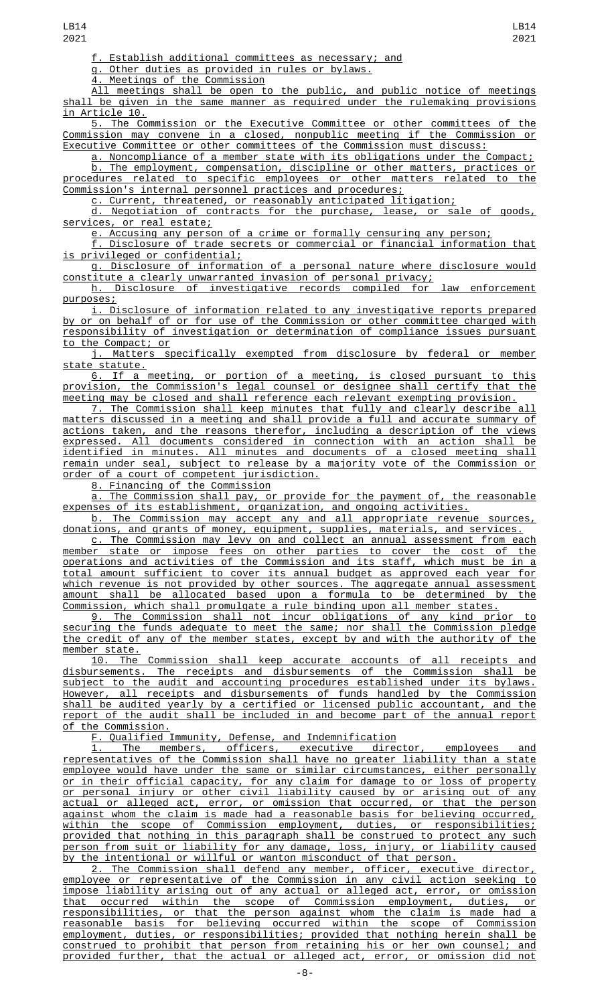f. Establish additional committees as necessary; and

g. Other duties as provided in rules or bylaws.<br>4. Meetings of the Commission

Meetings of the Commission

All meetings shall be open to the public, and public notice of meetings shall be given in the same manner as required under the rulemaking provisions in Article 10.

5. The Commission or the Executive Committee or other committees of the Commission may convene in a closed, nonpublic meeting if the Commission or Executive Committee or other committees of the Commission must discuss:

a. Noncompliance of a member state with its obligations under the Compact; b. The employment, compensation, discipline or other matters, practices or procedures related to specific employees or other matters related to the Commission's internal personnel practices and procedures;

c. Current, threatened, or reasonably anticipated litigation;

d. Negotiation of contracts for the purchase, lease, or sale of goods, services, or real estate;

e. Accusing any person of a crime or formally censuring any person;

f. Disclosure of trade secrets or commercial or financial information that is privileged or confidential;

g. Disclosure of information of a personal nature where disclosure would constitute a clearly unwarranted invasion of personal privacy;

h. Disclosure of investigative records compiled for law enforcement purposes;

i. Disclosure of information related to any investigative reports prepared by or on behalf of or for use of the Commission or other committee charged with responsibility of investigation or determination of compliance issues pursuant to the Compact; or

j. Matters specifically exempted from disclosure by federal or member state statute.

6. If a meeting, or portion of a meeting, is closed pursuant to this provision, the Commission's legal counsel or designee shall certify that the meeting may be closed and shall reference each relevant exempting provision.

7. The Commission shall keep minutes that fully and clearly describe all matters discussed in a meeting and shall provide a full and accurate summary of actions taken, and the reasons therefor, including a description of the views expressed. All documents considered in connection with an action shall be identified in minutes. All minutes and documents of a closed meeting shall remain under seal, subject to release by a majority vote of the Commission or order of a court of competent jurisdiction.

8. Financing of the Commission

a. The Commission shall pay, or provide for the payment of, the reasonable expenses of its establishment, organization, and ongoing activities.

b. The Commission may accept any and all appropriate revenue sources, donations, and grants of money, equipment, supplies, materials, and services.

c. The Commission may levy on and collect an annual assessment from each member state or impose fees on other parties to cover the cost of the operations and activities of the Commission and its staff, which must be in a total amount sufficient to cover its annual budget as approved each year for which revenue is not provided by other sources. The aggregate annual assessment amount shall be allocated based upon a formula to be determined by the Commission, which shall promulgate a rule binding upon all member states.

9. The Commission shall not incur obligations of any kind prior to securing the funds adequate to meet the same; nor shall the Commission pledge the credit of any of the member states, except by and with the authority of the member state.

10. The Commission shall keep accurate accounts of all receipts and disbursements. The receipts and disbursements of the Commission shall be subject to the audit and accounting procedures established under its bylaws. However, all receipts and disbursements of funds handled by the Commission shall be audited yearly by a certified or licensed public accountant, and the report of the audit shall be included in and become part of the annual report of the Commission.

F. Qualified Immunity, Defense, and Indemnification

1. The members, officers, executive director, employees and representatives of the Commission shall have no greater liability than a state employee would have under the same or similar circumstances, either personally or in their official capacity, for any claim for damage to or loss of property or personal injury or other civil liability caused by or arising out of any actual or alleged act, error, or omission that occurred, or that the person against whom the claim is made had a reasonable basis for believing occurred, within the scope of Commission employment, duties, or responsibilities; provided that nothing in this paragraph shall be construed to protect any such person from suit or liability for any damage, loss, injury, or liability caused by the intentional or willful or wanton misconduct of that person.

2. The Commission shall defend any member, officer, executive director, employee or representative of the Commission in any civil action seeking to impose liability arising out of any actual or alleged act, error, or omission that occurred within the scope of Commission employment, duties, or responsibilities, or that the person against whom the claim is made had a reasonable basis for believing occurred within the scope of Commission employment, duties, or responsibilities; provided that nothing herein shall be construed to prohibit that person from retaining his or her own counsel; and provided further, that the actual or alleged act, error, or omission did not

-8-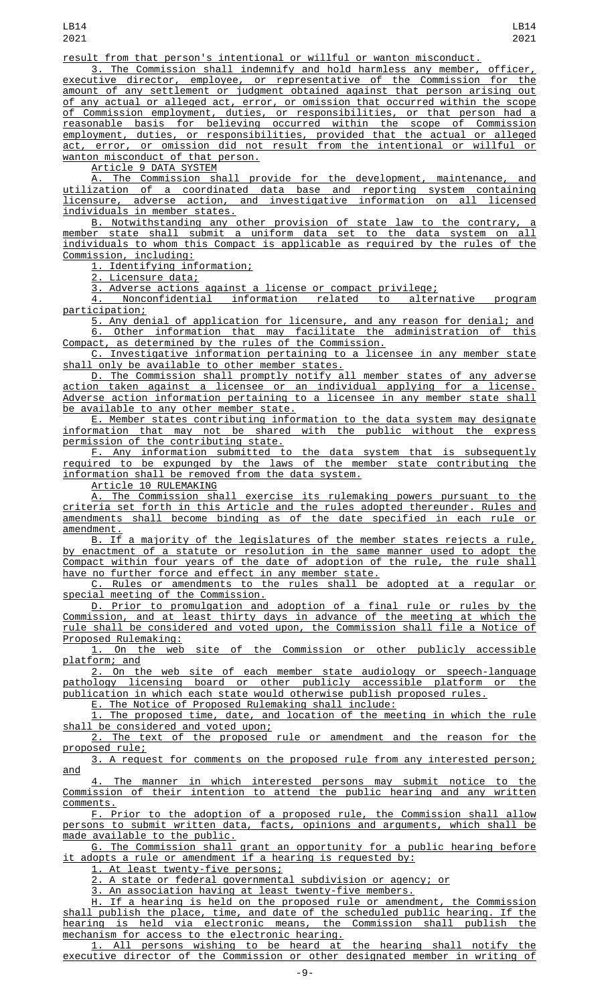result from that person's intentional or willful or wanton misconduct.

3. The Commission shall indemnify and hold harmless any member, officer, executive director, employee, or representative of the Commission for the amount of any settlement or judgment obtained against that person arising out of any actual or alleged act, error, or omission that occurred within the scope of Commission employment, duties, or responsibilities, or that person had a reasonable basis for believing occurred within the scope of Commission employment, duties, or responsibilities, provided that the actual or alleged act, error, or omission did not result from the intentional or willful or wanton misconduct of that person.

Article 9 DATA SYSTEM

A. The Commission shall provide for the development, maintenance, and utilization of a coordinated data base and reporting system containing licensure, adverse action, and investigative information on all licensed individuals in member states.

B. Notwithstanding any other provision of state law to the contrary, member state shall submit a uniform data set to the data system on all individuals to whom this Compact is applicable as required by the rules of the Commission, including:

1. Identifying information;

2. Licensure data;

3. Adverse actions against a license or compact privilege;

4. Nonconfidential information related to alternative program participation;

5. Any denial of application for licensure, and any reason for denial; and 6. Other information that may facilitate the administration of this Compact, as determined by the rules of the Commission.

C. Investigative information pertaining to a licensee in any member state shall only be available to other member states.

D. The Commission shall promptly notify all member states of any adverse action taken against a licensee or an individual applying for a license. Adverse action information pertaining to a licensee in any member state shall be available to any other member state.

E. Member states contributing information to the data system may designate information that may not be shared with the public without the express permission of the contributing state.

F. Any information submitted to the data system that is subsequently required to be expunged by the laws of the member state contributing the information shall be removed from the data system.

Article 10 RULEMAKING

A. The Commission shall exercise its rulemaking powers pursuant to the criteria set forth in this Article and the rules adopted thereunder. Rules and amendments shall become binding as of the date specified in each rule or amendment.

<u>B. If a majority of the legislatures of the member states rejects a rule, it</u> by enactment of a statute or resolution in the same manner used to adopt the Compact within four years of the date of adoption of the rule, the rule shall have no further force and effect in any member state.

C. Rules or amendments to the rules shall be adopted at a regular or special meeting of the Commission.

D. Prior to promulgation and adoption of a final rule or rules by the Commission, and at least thirty days in advance of the meeting at which the rule shall be considered and voted upon, the Commission shall file a Notice of Proposed Rulemaking:

1. On the web site of the Commission or other publicly accessible platform; and

2. On the web site of each member state audiology or speech-language pathology licensing board or other publicly accessible platform or the publication in which each state would otherwise publish proposed rules.

E. The Notice of Proposed Rulemaking shall include:

1. The proposed time, date, and location of the meeting in which the rule

shall be considered and voted upon; 2. The text of the proposed rule or amendment and the reason for the proposed rule;

3. A request for comments on the proposed rule from any interested person; and

The manner in which interested persons may submit notice to the Commission of their intention to attend the public hearing and any written comments.

F. Prior to the adoption of a proposed rule, the Commission shall allow persons to submit written data, facts, opinions and arguments, which shall be made available to the public.

G. The Commission shall grant an opportunity for a public hearing before adopts a rule or amendment if a hearing is requested by:

1. At least twenty-five persons;

2. A state or federal governmental subdivision or agency; or

3. An association having at least twenty-five members.

H. If a hearing is held on the proposed rule or amendment, the Commission shall publish the place, time, and date of the scheduled public hearing. If the<br>hearing is held via electronic means, the Commission shall publish the hearing is held via electronic means, the Commission shall publish the mechanism for access to the electronic hearing.

1. All persons wishing to be heard at the hearing shall notify the executive director of the Commission or other designated member in writing of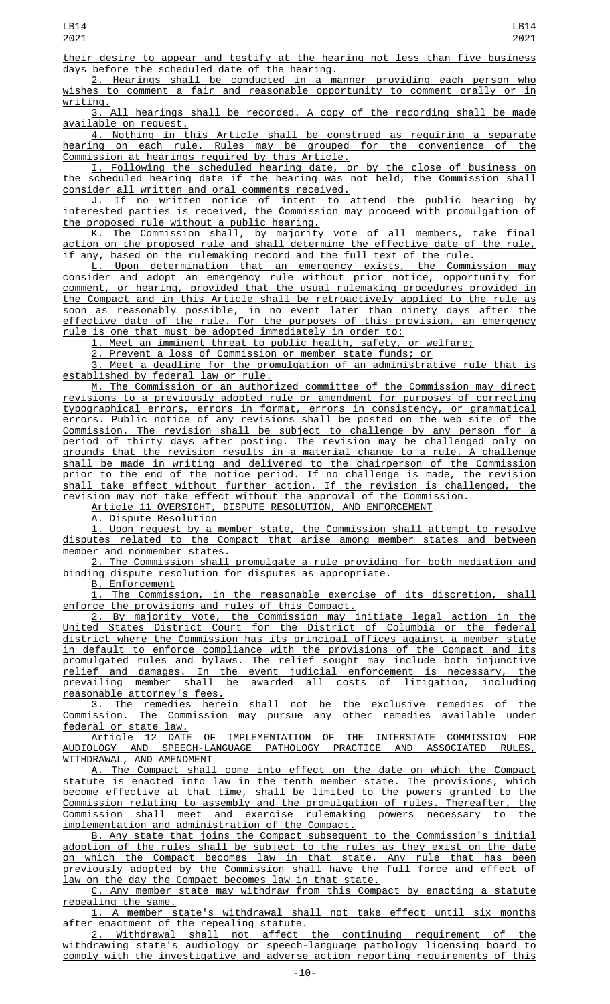their desire to appear and testify at the hearing not less than five business days before the scheduled date of the hearing.

2. Hearings shall be conducted in a manner providing each person who wishes to comment a fair and reasonable opportunity to comment orally or in writing.

3. All hearings shall be recorded. A copy of the recording shall be made available on request.

4. Nothing in this Article shall be construed as requiring a separate hearing on each rule. Rules may be grouped for the convenience of the Commission at hearings required by this Article.

I. Following the scheduled hearing date, or by the close of business on the scheduled hearing date if the hearing was not held, the Commission shall consider all written and oral comments received.

J. If no written notice of intent to attend the public hearing by interested parties is received, the Commission may proceed with promulgation of the proposed rule without a public hearing.

K. The Commission shall, by majority vote of all members, take final action on the proposed rule and shall determine the effective date of the rule, if any, based on the rulemaking record and the full text of the rule.

L. Upon determination that an emergency exists, the Commission may consider and adopt an emergency rule without prior notice, opportunity for comment, or hearing, provided that the usual rulemaking procedures provided in the Compact and in this Article shall be retroactively applied to the rule as soon as reasonably possible, in no event later than ninety days after the effective date of the rule. For the purposes of this provision, an emergency rule is one that must be adopted immediately in order to:

1. Meet an imminent threat to public health, safety, or welfare;

2. Prevent a loss of Commission or member state funds; or

Meet a deadline for the promulgation of an administrative rule that is established by federal law or rule.

M. The Commission or an authorized committee of the Commission may direct revisions to a previously adopted rule or amendment for purposes of correcting typographical errors, errors in format, errors in consistency, or grammatical errors. Public notice of any revisions shall be posted on the web site of the Commission. The revision shall be subject to challenge by any person for a thirty days after posting. The revision may be challenged only on grounds that the revision results in a material change to a rule. A challenge shall be made in writing and delivered to the chairperson of the Commission prior to the end of the notice period. If no challenge is made, the revision shall take effect without further action. If the revision is challenged, the revision may not take effect without the approval of the Commission.

Article 11 OVERSIGHT, DISPUTE RESOLUTION, AND ENFORCEMENT

A. Dispute Resolution

1. Upon request by a member state, the Commission shall attempt to resolve disputes related to the Compact that arise among member states and between member and nonmember states.

2. The Commission shall promulgate a rule providing for both mediation and binding dispute resolution for disputes as appropriate.

B. Enforcement

1. The Commission, in the reasonable exercise of its discretion, shall enforce the provisions and rules of this Compact.

2. By majority vote, the Commission may initiate legal action in the United States District Court for the District of Columbia or the federal district where the Commission has its principal offices against a member state in default to enforce compliance with the provisions of the Compact and its promulgated rules and bylaws. The relief sought may include both injunctive relief and damages. In the event judicial enforcement is necessary, the prevailing member shall be awarded all costs of litigation, including reasonable attorney's fees.

3. The remedies herein shall not be the exclusive remedies of the Commission. The Commission may pursue any other remedies available under federal or state law.

Article 12 DATE OF IMPLEMENTATION OF THE INTERSTATE COMMISSION FOR AUDIOLOGY AND SPEECH-LANGUAGE PATHOLOGY PRACTICE AND ASSOCIATED RULES, WITHDRAWAL, AND AMENDMENT

A. The Compact shall come into effect on the date on which the Compact statute is enacted into law in the tenth member state. The provisions, which become effective at that time, shall be limited to the powers granted to the<br>Commission relating to assembly and the promulgation of rules. Thereafter, the Commission relating to assembly and the promulgation of rules. Thereafter, the Commission shall meet and exercise rulemaking powers necessary to the implementation and administration of the Compact.

B. Any state that joins the Compact subsequent to the Commission's initial adoption of the rules shall be subject to the rules as they exist on the date on which the Compact becomes law in that state. Any rule that has been previously adopted by the Commission shall have the full force and effect of law on the day the Compact becomes law in that state.

C. Any member state may withdraw from this Compact by enacting a statute repealing the same.

1. A member state's withdrawal shall not take effect until six months after enactment of the repealing statute.

2. Withdrawal shall not affect the continuing requirement of the withdrawing state's audiology or speech-language pathology licensing board to comply with the investigative and adverse action reporting requirements of this